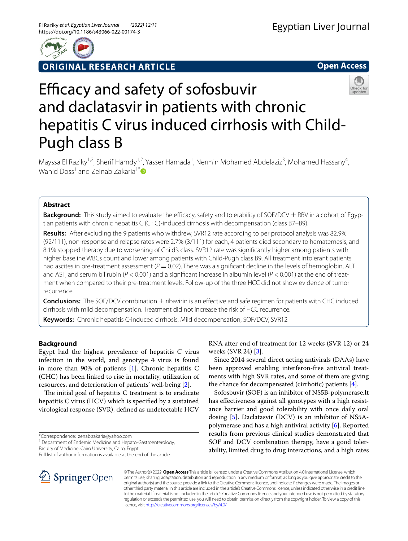

**ORIGINAL RESEARCH ARTICLE**

**Open Access**



# Efficacy and safety of sofosbuvir and daclatasvir in patients with chronic hepatitis C virus induced cirrhosis with Child-Pugh class B

Mayssa El Raziky<sup>1,2</sup>, Sherif Hamdy<sup>1,2</sup>, Yasser Hamada<sup>1</sup>, Nermin Mohamed Abdelaziz<sup>3</sup>, Mohamed Hassany<sup>4</sup>, Wahid Doss<sup>1</sup> and Zeinab Zakaria<sup>1[\\*](http://orcid.org/0000-0001-8054-8655)</sup>

# **Abstract**

**Background:** This study aimed to evaluate the efficacy, safety and tolerability of SOF/DCV  $\pm$  RBV in a cohort of Egyptian patients with chronic hepatitis C (CHC)-induced cirrhosis with decompensation (class B7–B9).

**Results:** After excluding the 9 patients who withdrew, SVR12 rate according to per protocol analysis was 82.9% (92/111), non-response and relapse rates were 2.7% (3/111) for each, 4 patients died secondary to hematemesis, and 8.1% stopped therapy due to worsening of Child's class. SVR12 rate was signifcantly higher among patients with higher baseline WBCs count and lower among patients with Child-Pugh class B9. All treatment intolerant patients had ascites in pre-treatment assessment (*P* = 0.02). There was a significant decline in the levels of hemoglobin, ALT and AST, and serum bilirubin (*P* < 0.001) and a signifcant increase in albumin level (*P* < 0.001) at the end of treatment when compared to their pre-treatment levels. Follow-up of the three HCC did not show evidence of tumor recurrence.

**Conclusions:** The SOF/DCV combination ± ribavirin is an efective and safe regimen for patients with CHC induced cirrhosis with mild decompensation. Treatment did not increase the risk of HCC recurrence.

**Keywords:** Chronic hepatitis C-induced cirrhosis, Mild decompensation, SOF/DCV, SVR12

# **Background**

Egypt had the highest prevalence of hepatitis C virus infection in the world, and genotype 4 virus is found in more than 90% of patients [[1](#page-8-0)]. Chronic hepatitis C (CHC) has been linked to rise in mortality, utilization of resources, and deterioration of patients' well-being [\[2](#page-8-1)].

The initial goal of hepatitis  $C$  treatment is to eradicate hepatitis C virus (HCV) which is specifed by a sustained virological response (SVR), defned as undetectable HCV

\*Correspondence: zenab.zakaria@yahoo.com

<sup>1</sup> Department of Endemic Medicine and Hepato-Gastroenterology, Faculty of Medicine, Cairo University, Cairo, Egypt

Full list of author information is available at the end of the article

RNA after end of treatment for 12 weeks (SVR 12) or 24 weeks (SVR 24) [[3\]](#page-8-2).

Since 2014 several direct acting antivirals (DAAs) have been approved enabling interferon-free antiviral treatments with high SVR rates, and some of them are giving the chance for decompensated (cirrhotic) patients [\[4](#page-8-3)].

Sofosbuvir (SOF) is an inhibitor of NS5B-polymerase.It has efectiveness against all genotypes with a high resistance barrier and good tolerability with once daily oral dosing [[5\]](#page-8-4). Daclatasvir (DCV) is an inhibitor of NS5Apolymerase and has a high antiviral activity [[6\]](#page-8-5). Reported results from previous clinical studies demonstrated that SOF and DCV combination therapy, have a good tolerability, limited drug to drug interactions, and a high rates



© The Author(s) 2022. **Open Access** This article is licensed under a Creative Commons Attribution 4.0 International License, which permits use, sharing, adaptation, distribution and reproduction in any medium or format, as long as you give appropriate credit to the original author(s) and the source, provide a link to the Creative Commons licence, and indicate if changes were made. The images or other third party material in this article are included in the article's Creative Commons licence, unless indicated otherwise in a credit line to the material. If material is not included in the article's Creative Commons licence and your intended use is not permitted by statutory regulation or exceeds the permitted use, you will need to obtain permission directly from the copyright holder. To view a copy of this licence, visit [http://creativecommons.org/licenses/by/4.0/.](http://creativecommons.org/licenses/by/4.0/)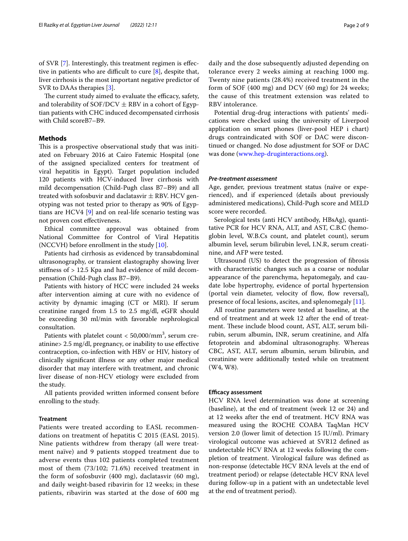of SVR [[7\]](#page-8-6). Interestingly, this treatment regimen is efective in patients who are difficult to cure  $[8]$  $[8]$ , despite that, liver cirrhosis is the most important negative predictor of SVR to DAAs therapies [[3\]](#page-8-2).

The current study aimed to evaluate the efficacy, safety, and tolerability of SOF/DCV  $\pm$  RBV in a cohort of Egyptian patients with CHC induced decompensated cirrhosis with Child scoreB7–B9.

# **Methods**

This is a prospective observational study that was initiated on February 2016 at Cairo Fatemic Hospital (one of the assigned specialized centers for treatment of viral hepatitis in Egypt). Target population included 120 patients with HCV-induced liver cirrhosis with mild decompensation (Child-Pugh class B7–B9) and all treated with sofosbuvir and daclatasvir  $\pm$  RBV. HCV genotyping was not tested prior to therapy as 90% of Egyptians are HCV4 [\[9](#page-8-8)] and on real-life scenario testing was not proven cost efectiveness.

Ethical committee approval was obtained from National Committee for Control of Viral Hepatitis (NCCVH) before enrollment in the study [\[10](#page-8-9)].

Patients had cirrhosis as evidenced by transabdominal ultrasonography, or transient elastography showing liver stifness of > 12.5 Kpa and had evidence of mild decompensation (Child-Pugh class B7–B9).

Patients with history of HCC were included 24 weeks after intervention aiming at cure with no evidence of activity by dynamic imaging (CT or MRI). If serum creatinine ranged from 1.5 to 2.5 mg/dl, eGFR should be exceeding 30 ml/min with favorable nephrological consultation.

Patients with platelet count  $< 50,000/\mathrm{mm}^3$ , serum creatinine> 2.5 mg/dl, pregnancy, or inability to use efective contraception, co-infection with HBV or HIV, history of clinically signifcant illness or any other major medical disorder that may interfere with treatment, and chronic liver disease of non-HCV etiology were excluded from the study.

All patients provided written informed consent before enrolling to the study.

## **Treatment**

Patients were treated according to EASL recommendations on treatment of hepatitis C 2015 (EASL 2015). Nine patients withdrew from therapy (all were treatment naïve) and 9 patients stopped treatment due to adverse events thus 102 patients completed treatment most of them (73/102; 71.6%) received treatment in the form of sofosbuvir (400 mg), daclatasvir (60 mg), and daily weight-based ribavirin for 12 weeks; in these patients, ribavirin was started at the dose of 600 mg daily and the dose subsequently adjusted depending on tolerance every 2 weeks aiming at reaching 1000 mg. Twenty nine patients (28.4%) received treatment in the form of SOF (400 mg) and DCV (60 mg) for 24 weeks; the cause of this treatment extension was related to RBV intolerance.

Potential drug-drug interactions with patients' medications were checked using the university of Liverpool application on smart phones (liver-pool HEP i chart) drugs contraindicated with SOF or DAC were discontinued or changed. No dose adjustment for SOF or DAC was done [\(www.hep-druginteractions.org\)](http://www.hep-druginteractions.org).

## *Pre‑treatment assessment*

Age, gender, previous treatment status (naïve or experienced), and if experienced (details about previously administered medications), Child-Pugh score and MELD score were recorded.

Serological tests (anti HCV antibody, HBsAg), quantitative PCR for HCV RNA, ALT, and AST, C.B.C (hemoglobin level, W.B.Cs count, and platelet count), serum albumin level, serum bilirubin level, I.N.R, serum creatinine, and AFP were tested.

Ultrasound (US) to detect the progression of fbrosis with characteristic changes such as a coarse or nodular appearance of the parenchyma, hepatomegaly, and caudate lobe hypertrophy, evidence of portal hypertension (portal vein diameter, velocity of flow, flow reversal), presence of focal lesions, ascites, and splenomegaly [[11\]](#page-8-10).

All routine parameters were tested at baseline, at the end of treatment and at week 12 after the end of treatment. These include blood count, AST, ALT, serum bilirubin, serum albumin, INR, serum creatinine, and Alfa fetoprotein and abdominal ultrasonography. Whereas CBC, AST, ALT, serum albumin, serum bilirubin, and creatinine were additionally tested while on treatment (W4, W8).

## **Efficacy assessment**

HCV RNA level determination was done at screening (baseline), at the end of treatment (week 12 or 24) and at 12 weeks after the end of treatment. HCV RNA was measured using the ROCHE COABA TaqMan HCV version 2.0 (lower limit of detection 15 IU/ml). Primary virological outcome was achieved at SVR12 defned as undetectable HCV RNA at 12 weeks following the completion of treatment. Virological failure was defned as non-response (detectable HCV RNA levels at the end of treatment period) or relapse (detectable HCV RNA level during follow-up in a patient with an undetectable level at the end of treatment period).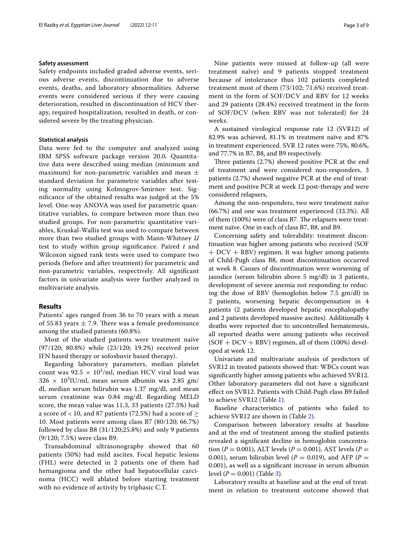# **Safety assessment**

Safety endpoints included graded adverse events, serious adverse events, discontinuation due to adverse events, deaths, and laboratory abnormalities. Adverse events were considered serious if they were causing deterioration, resulted in discontinuation of HCV therapy, required hospitalization, resulted in death, or considered severe by the treating physician.

## **Statistical analysis**

Data were fed to the computer and analyzed using IBM SPSS software package version 20.0*.* Quantitative data were described using median (minimum and maximum) for non-parametric variables and mean  $\pm$ standard deviation for parametric variables after testing normality using Kolmogrov-Smirnov test. Signifcance of the obtained results was judged at the 5% level. One-way ANOVA was used for parametric quantitative variables, to compare between more than two studied groups. For non-parametric quantitative variables, Kruskal-Wallis test was used to compare between more than two studied groups with Mann-Whitney *U* test to study within group signifcance. Paired *t* and Wilcoxon signed rank tests were used to compare two periods (before and after treatment) for parametric and non-parametric variables, respectively. All signifcant factors in univariate analysis were further analyzed in multivariate analysis.

## **Results**

Patients' ages ranged from 36 to 70 years with a mean of 55.83 years  $\pm$  7.9. There was a female predominance among the studied patients (60.8%).

Most of the studied patients were treatment naïve (97/120; 80.8%) while (23/120; 19.2%) received prior IFN based therapy or sofosbuvir based therapy).

Regarding laboratory parameters, median platelet count was  $92.5 \times 10^3$ /ml, median HCV viral load was  $326 \times 10^3$ IU/ml, mean serum albumin was 2.85 gm/ dl, median serum bilirubin was 1.37 mg/dl, and mean serum creatinine was 0.84 mg/dl. Regarding MELD score, the mean value was 11.3, 33 patients (27.5%) had a score of < 10, and 87 patients (72.5%) had a score of  $\geq$ 10. Most patients were among class B7 (80/120; 66.7%) followed by class B8 (31/120;25.8%) and only 9 patients (9/120; 7.5%) were class B9.

Transabdominal ultrasonography showed that 60 patients (50%) had mild ascites. Focal hepatic lesions (FHL) were detected in 2 patients one of them had hemangioma and the other had hepatocellular carcinoma (HCC) well ablated before starting treatment with no evidence of activity by triphasic C.T.

Nine patients were missed at follow-up (all were treatment naïve) and 9 patients stopped treatment because of intolerance thus 102 patients completed treatment most of them (73/102; 71.6%) received treatment in the form of SOF/DCV and RBV for 12 weeks and 29 patients (28.4%) received treatment in the form of SOF/DCV (when RBV was not tolerated) for 24 weeks.

A sustained virological response rate 12 (SVR12) of 82.9% was achieved, 81.1% in treatment naïve and 87% in treatment experienced. SVR 12 rates were 75%, 80.6%, and 77.7% in B7, B8, and B9 respectively.

Three patients  $(2.7%)$  showed positive PCR at the end of treatment and were considered non-responders, 3 patients (2.7%) showed negative PCR at the end of treatment and positive PCR at week 12 post-therapy and were considered relapsers,

Among the non-responders, two were treatment naïve (66.7%) and one was treatment experienced (33.3%). All of them (100%) were of class B7. The relapsers were treatment naïve. One in each of class B7, B8, and B9.

Concerning safety and tolerability: treatment discontinuation was higher among patients who received (SOF + DCV + RBV) regimen. It was higher among patients of Child-Pugh class B8, most discontinuation occurred at week 8. Causes of discontinuation were worsening of jaundice (serum bilirubin above 5 mg/dl) in 3 patients, development of severe anemia not responding to reducing the dose of RBV (hemoglobin below 7.5 gm/dl) in 2 patients, worsening hepatic decompensation in 4 patients (2 patients developed hepatic encephalopathy and 2 patients developed massive ascites). Additionally 4 deaths were reported due to uncontrolled hematemesis, all reported deaths were among patients who received  $(SOF + DCV + RBV)$  regimen, all of them  $(100%)$  developed at week 12.

Univariate and multivariate analysis of predictors of SVR12 in treated patients showed that: WBCs count was signifcantly higher among patients who achieved SVR12. Other laboratory parameters did not have a signifcant efect on SVR12. Patients with Child-Pugh class B9 failed to achieve SVR12 (Table [1](#page-3-0)).

Baseline characteristics of patients who failed to achieve SVR12 are shown in (Table [2\)](#page-4-0).

Comparison between laboratory results at baseline and at the end of treatment among the studied patients revealed a signifcant decline in hemoglobin concentration (*P* = 0.001), ALT levels (*P* = 0.001), AST levels (*P* = 0.001), serum bilirubin level ( $P = 0.019$ ), and AFP ( $P =$ 0.001), as well as a signifcant increase in serum albumin level  $(P = 0.001)$  (Table [3\)](#page-5-0).

Laboratory results at baseline and at the end of treatment in relation to treatment outcome showed that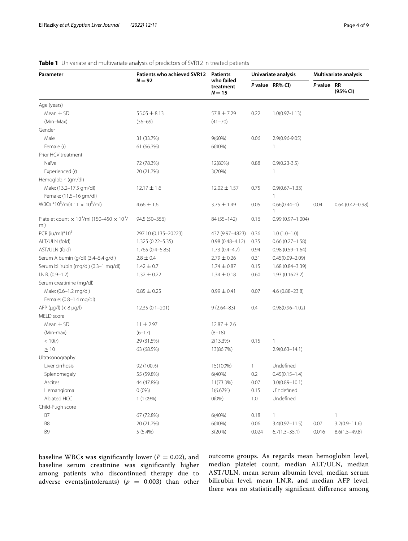| Parameter                                                        | Patients who achieved SVR12 | <b>Patients</b>                     | Univariate analysis |                                  | <b>Multivariate analysis</b> |                     |
|------------------------------------------------------------------|-----------------------------|-------------------------------------|---------------------|----------------------------------|------------------------------|---------------------|
|                                                                  | $N = 92$                    | who failed<br>treatment<br>$N = 15$ |                     | P value RR% CI)                  | P value RR                   | (95% CI)            |
| Age (years)                                                      |                             |                                     |                     |                                  |                              |                     |
| Mean $\pm$ SD                                                    | $55.05 \pm 8.13$            | $57.8 \pm 7.29$                     | 0.22                | $1.0(0.97 - 1.13)$               |                              |                     |
| (Min-Max)                                                        | $(36 - 69)$                 | $(41 - 70)$                         |                     |                                  |                              |                     |
| Gender                                                           |                             |                                     |                     |                                  |                              |                     |
| Male                                                             | 31 (33.7%)                  | $9(60\%)$                           | 0.06                | $2.9(0.96 - 9.05)$               |                              |                     |
| Female (r)                                                       | 61 (66.3%)                  | 6(40%)                              |                     | 1                                |                              |                     |
| Prior HCV treatment                                              |                             |                                     |                     |                                  |                              |                     |
| Naïve                                                            | 72 (78.3%)                  | 12(80%)                             | 0.88                | $0.9(0.23 - 3.5)$                |                              |                     |
| Experienced (r)                                                  | 20 (21.7%)                  | 3(20%)                              |                     | 1                                |                              |                     |
| Hemoglobin (gm/dl)                                               |                             |                                     |                     |                                  |                              |                     |
| Male: (13.2-17.5 gm/dl)                                          | $12.17 \pm 1.6$             | $12.02 \pm 1.57$                    | 0.75                | $0.9(0.67 - 1.33)$               |                              |                     |
| Female: (11.5-16 gm/dl)                                          |                             |                                     |                     | $\mathbf{1}$                     |                              |                     |
| WBCs *10 <sup>3</sup> /m(4 11 $\times$ 10 <sup>3</sup> /ml)      | $4.66 \pm 1.6$              | $3.75 \pm 1.49$                     | 0.05                | $0.66(0.44 - 1)$<br>$\mathbf{1}$ | 0.04                         | $0.64(0.42 - 0.98)$ |
| Platelet count $\times 10^3$ /ml (150-450 $\times 10^3$ /<br>ml) | 94.5 (50-356)               | 84 (55-142)                         | 0.16                | $0.99(0.97 - 1.004)$             |                              |                     |
| PCR (iu/ml)*103                                                  | 297.10 (0.135-20223)        | 437 (9.97-4823)                     | 0.36                | $1.0(1.0-1.0)$                   |                              |                     |
| ALT/ULN (fold)                                                   | 1.325 (0.22-5.35)           | $0.98(0.48 - 4.12)$                 | 0.35                | $0.66(0.27-1.58)$                |                              |                     |
| AST/ULN (fold)                                                   | 1.765 (0.4-5.85)            | $1.73(0.4-4.7)$                     | 0.94                | $0.98(0.59 - 1.64)$              |                              |                     |
| Serum Albumin (g/dl) (3.4-5.4 g/dl)                              | $2.8 \pm 0.4$               | $2.79 \pm 0.26$                     | 0.31                | $0.45(0.09 - 2.09)$              |                              |                     |
| Serum bilirubin (mg/dl) (0.3-1 mg/dl)                            | $1.42 \pm 0.7$              | $1.74 \pm 0.87$                     | 0.15                | $1.68(0.84 - 3.39)$              |                              |                     |
| $I.N.R. (0.9-1.2)$                                               | $1.32 \pm 0.22$             | $1.34 \pm 0.18$                     | 0.60                | 1.93 (0.1623.2)                  |                              |                     |
| Serum creatinine (mg/dl)                                         |                             |                                     |                     |                                  |                              |                     |
| Male: (0.6-1.2 mg/dl)                                            | $0.85 \pm 0.25$             | $0.99 \pm 0.41$                     | 0.07                | 4.6 (0.88-23.8)                  |                              |                     |
| Female: (0.8-1.4 mg/dl)                                          |                             |                                     |                     |                                  |                              |                     |
| AFP $(\mu q / I)$ $(< 8 \mu q / I)$                              | $12.35(0.1 - 201)$          | $9(2.64 - 83)$                      | 0.4                 | $0.98(0.96 - 1.02)$              |                              |                     |
| MELD score                                                       |                             |                                     |                     |                                  |                              |                     |
| Mean $\pm$ SD                                                    | $11 \pm 2.97$               | $12.87 \pm 2.6$                     |                     |                                  |                              |                     |
| (Min-max)                                                        | $(6-17)$                    | $(8-18)$                            |                     |                                  |                              |                     |
| < 10(r)                                                          | 29 (31.5%)                  | 2(13.3%)                            | 0.15                | 1                                |                              |                     |
| $\geq$ 10                                                        | 63 (68.5%)                  | 13(86.7%)                           |                     | $2.9(0.63 - 14.1)$               |                              |                     |
| Ultrasonography                                                  |                             |                                     |                     |                                  |                              |                     |
| Liver cirrhosis                                                  | 92 (100%)                   | 15(100%)                            | 1                   | Undefined                        |                              |                     |
| Splenomegaly                                                     | 55 (59.8%)                  | 6(40%)                              | 0.2                 | $0.45(0.15 - 1.4)$               |                              |                     |
| Ascites                                                          | 44 (47.8%)                  | 11(73.3%)                           | 0.07                | $3.0(0.89 - 10.1)$               |                              |                     |
| Hemangioma                                                       | $0(0\%)$                    | 1(6.67%)                            | 0.15                | U`ndefined                       |                              |                     |
| Ablated HCC                                                      | 1 (1.09%)                   | $O(0\%)$                            | $1.0\,$             | Undefined                        |                              |                     |
| Child-Pugh score                                                 |                             |                                     |                     |                                  |                              |                     |
| B7                                                               | 67 (72.8%)                  | 6(40%)                              | 0.18                | 1                                |                              | $\mathbf{1}$        |
| B8                                                               | 20 (21.7%)                  | 6(40%)                              | 0.06                | $3.4(0.97 - 11.5)$               | 0.07                         | $3.2(0.9 - 11.6)$   |
| B9                                                               | 5 (5.4%)                    | 3(20%)                              | 0.024               | $6.7(1.3 - 35.1)$                | 0.016                        | $8.6(1.5 - 49.8)$   |

# <span id="page-3-0"></span>**Table 1** Univariate and multivariate analysis of predictors of SVR12 in treated patients

baseline WBCs was significantly lower ( $P = 0.02$ ), and baseline serum creatinine was signifcantly higher among patients who discontinued therapy due to adverse events(intolerants) ( $p = 0.003$ ) than other outcome groups. As regards mean hemoglobin level, median platelet count, median ALT/ULN, median AST/ULN, mean serum albumin level, median serum bilirubin level, mean I.N.R, and median AFP level, there was no statistically signifcant diference among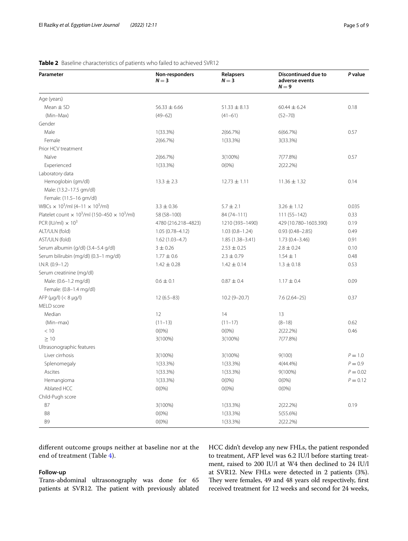| Parameter                                                                          | Non-responders<br>$N = 3$ | <b>Relapsers</b><br>$N = 3$ | <b>Discontinued due to</b><br>adverse events<br>$N = 9$ | P value    |
|------------------------------------------------------------------------------------|---------------------------|-----------------------------|---------------------------------------------------------|------------|
| Age (years)                                                                        |                           |                             |                                                         |            |
| Mean $\pm$ SD                                                                      | $56.33 \pm 6.66$          | $51.33 \pm 8.13$            | $60.44 \pm 6.24$                                        | 0.18       |
| (Min-Max)                                                                          | $(49 - 62)$               | $(41 - 61)$                 | $(52 - 70)$                                             |            |
| Gender                                                                             |                           |                             |                                                         |            |
| Male                                                                               | $1(33.3\%)$               | 2(66.7%)                    | 6(66.7%)                                                | 0.57       |
| Female                                                                             | 2(66.7%)                  | $1(33.3\%)$                 | 3(33.3%)                                                |            |
| Prior HCV treatment                                                                |                           |                             |                                                         |            |
| Naïve                                                                              | 2(66.7%)                  | $3(100\%)$                  | 7(77.8%)                                                | 0.57       |
| Experienced                                                                        | $1(33.3\%)$               | $O(0\%)$                    | 2(22.2%)                                                |            |
| Laboratory data                                                                    |                           |                             |                                                         |            |
| Hemoglobin (gm/dl)                                                                 | $13.3 \pm 2.3$            | $12.73 \pm 1.11$            | $11.36 \pm 1.32$                                        | 0.14       |
| Male: (13.2-17.5 gm/dl)                                                            |                           |                             |                                                         |            |
| Female: (11.5-16 gm/dl)                                                            |                           |                             |                                                         |            |
| WBCs $\times$ 10 <sup>3</sup> /ml (4-11 $\times$ 10 <sup>3</sup> /ml)              | $3.3 \pm 0.36$            | $5.7 \pm 2.1$               | $3.26 \pm 1.12$                                         | 0.035      |
| Platelet count $\times$ 10 <sup>3</sup> /ml (150–450 $\times$ 10 <sup>3</sup> /ml) | 58 (58-100)               | 84 (74-111)                 | $111(55 - 142)$                                         | 0.33       |
| PCR (IU/ml) $\times$ 10 <sup>3</sup>                                               | 4780 (216.218-4823)       | 1210 (393-1490)             | 429 (10.780-1603.390)                                   | 0.19       |
| ALT/ULN (fold)                                                                     | $1.05(0.78 - 4.12)$       | $1.03(0.8-1.24)$            | $0.93(0.48 - 2.85)$                                     | 0.49       |
| AST/ULN (fold)                                                                     | $1.62(1.03-4.7)$          | $1.85(1.38 - 3.41)$         | $1.73(0.4 - 3.46)$                                      | 0.91       |
| Serum albumin (g/dl) (3.4-5.4 g/dl)                                                | $3 \pm 0.26$              | $2.53 \pm 0.25$             | $2.8 \pm 0.24$                                          | 0.10       |
| Serum bilirubin (mg/dl) (0.3-1 mg/dl)                                              | $1.77 \pm 0.6$            | $2.3 \pm 0.79$              | $1.54 \pm 1$                                            | 0.48       |
| $I.N.R. (0.9-1.2)$                                                                 | $1.42 \pm 0.28$           | $1.42 \pm 0.14$             | $1.3 \pm 0.18$                                          | 0.53       |
| Serum creatinine (mg/dl)                                                           |                           |                             |                                                         |            |
| Male: (0.6-1.2 mg/dl)                                                              | $0.6 \pm 0.1$             | $0.87 \pm 0.4$              | $1.17 \pm 0.4$                                          | 0.09       |
| Female: (0.8-1.4 mg/dl)                                                            |                           |                             |                                                         |            |
| AFP ( $\mu$ g/l) (< 8 $\mu$ g/l)                                                   | $12(6.5-83)$              | $10.2(9 - 20.7)$            | $7.6(2.64-25)$                                          | 0.37       |
| MELD score                                                                         |                           |                             |                                                         |            |
| Median                                                                             | 12                        | 14                          | 13                                                      |            |
| (Min-max)                                                                          | $(11 - 13)$               | $(11 - 17)$                 | $(8-18)$                                                | 0.62       |
| < 10                                                                               | $O(0\%)$                  | $O(0\%)$                    | 2(22.2%)                                                | 0.46       |
| $\geq 10$                                                                          | 3(100%)                   | $3(100\%)$                  | 7(77.8%)                                                |            |
| Ultrasonographic features                                                          |                           |                             |                                                         |            |
| Liver cirrhosis                                                                    | 3(100%)                   | $3(100\%)$                  | 9(100)                                                  | $P = 1.0$  |
| Splenomegaly                                                                       | $1(33.3\%)$               | 1(33.3%)                    | $4(44.4\%)$                                             | $P = 0.9$  |
| Ascites                                                                            | $1(33.3\%)$               | $1(33.3\%)$                 | 9(100%)                                                 | $P = 0.02$ |
| Hemangioma                                                                         | $1(33.3\%)$               | $O(0\%)$                    | $O(0\%)$                                                | $P = 0.12$ |
| Ablated HCC                                                                        | $O(0\%)$                  | $O(0\%)$                    | $O(0\%)$                                                |            |
| Child-Pugh score                                                                   |                           |                             |                                                         |            |
| B7                                                                                 | $3(100\%)$                | $1(33.3\%)$                 | 2(22.2%)                                                | 0.19       |
| B <sub>8</sub>                                                                     | $O(0\%)$                  | 1(33.3%)                    | 5(55.6%)                                                |            |
| B <sub>9</sub>                                                                     | $O(0\%)$                  | $1(33.3\%)$                 | 2(22.2%)                                                |            |

# <span id="page-4-0"></span>**Table 2** Baseline characteristics of patients who failed to achieved SVR12

diferent outcome groups neither at baseline nor at the end of treatment (Table [4\)](#page-5-1).

# **Follow‑up**

Trans-abdominal ultrasonography was done for 65 patients at SVR12. The patient with previously ablated

HCC didn't develop any new FHLs, the patient responded to treatment, AFP level was 6.2 IU/l before starting treatment, raised to 200 IU/l at W4 then declined to 24 IU/l at SVR12. New FHLs were detected in 2 patients (3%). They were females, 49 and 48 years old respectively, first received treatment for 12 weeks and second for 24 weeks,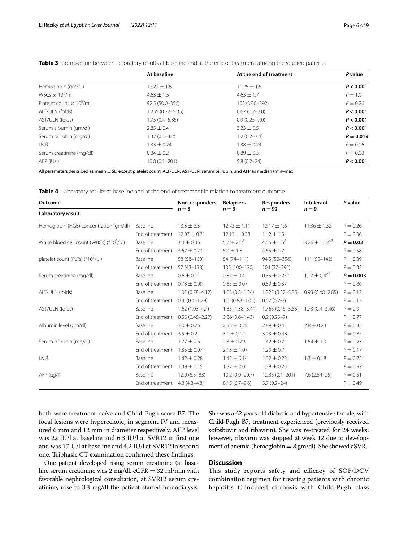|                                   | At baseline          | At the end of treatment | P value     |
|-----------------------------------|----------------------|-------------------------|-------------|
| Hemoglobin (gm/dl)                | $12.22 \pm 1.6$      | $11.25 \pm 1.5$         | P < 0.001   |
| WBCs $\times$ 10 <sup>3</sup> /ml | $4.63 \pm 1.5$       | $4.63 \pm 1.7$          | $P=1.0$     |
| Platelet count $\times 10^3$ /ml  | 92.5 (50.0-356)      | 105 (37.0-392)          | $P = 0.26$  |
| ALT/ULN (folds)                   | $1.255(0.22 - 5.35)$ | $0.67(0.2 - 2.0)$       | P < 0.001   |
| AST/ULN (folds)                   | $1.75(0.4 - 5.85)$   | $0.9(0.25 - 7.0)$       | P < 0.001   |
| Serum albumin (gm/dl)             | $2.85 \pm 0.4$       | $3.23 \pm 0.5$          | P < 0.001   |
| Serum bilirubin (mg/dl)           | $1.37(0.3 - 3.2)$    | $1.2(0.2 - 3.4)$        | $P = 0.019$ |
| I.N.R.                            | $1.33 + 0.24$        | $1.38 \pm 0.24$         | $P = 0.16$  |
| Serum creatinine (mg/dl)          | $0.84 \pm 0.2$       | $0.89 \pm 0.3$          | $P = 0.08$  |
| AFP (IU/I)                        | $10.8(0.1 - 201)$    | $5.8(0.2 - 24)$         | P < 0.001   |

<span id="page-5-0"></span>**Table 3** Comparison between laboratory results at baseline and at the end of treatment among the studied patients

All parameters described as mean ± SD except platelet count, ALT/ULN, AST/ULN, serum bilirubin, and AFP as median (min–max)

<span id="page-5-1"></span>

|  |  |  |  |  | <b>Table 4</b> Laboratory results at baseline and at the end of treatment in relation to treatment outcome |  |  |  |  |
|--|--|--|--|--|------------------------------------------------------------------------------------------------------------|--|--|--|--|
|--|--|--|--|--|------------------------------------------------------------------------------------------------------------|--|--|--|--|

| Outcome<br>Laboratory result                |                  | Non-responders<br>$n=3$  | Relapsers             | <b>Responders</b>          | Intolerant           | P value     |  |
|---------------------------------------------|------------------|--------------------------|-----------------------|----------------------------|----------------------|-------------|--|
|                                             |                  |                          | $n=3$                 | $n = 92$                   | $n = 9$              |             |  |
| Hemoglobin (HGB) concentration (gm/dl)      | Baseline         | $13.3 \pm 2.3$           | $12.73 \pm 1.11$      | $12.17 \pm 1.6$            | $11.36 \pm 1.32$     | $P = 0.26$  |  |
|                                             | End of treatment | $12.07 \pm 0.31$         | $12.13 \pm 0.38$      | $11.2 \pm 1.5$             |                      | $P = 0.36$  |  |
| White blood cell count (WBCs) $(*10^3/\mu)$ | Baseline         | $3.3 \pm 0.36$           | $5.7 \pm 2.1^{\circ}$ | $4.66 \pm 1.6^8$           | $3.26 \pm 1.12^{AB}$ | $P = 0.02$  |  |
|                                             | End of treatment | $3.67 \pm 0.23$          | $5.0 \pm 1.8$         | $4.65 \pm 1.7$             |                      | $P = 0.58$  |  |
| platelet count (PLTs) $(*10^3/\mu)$         | Baseline         | 58 (58-100)              | 84 (74-111)           | 94.5 (50-356)              | $111(55 - 142)$      | $P = 0.39$  |  |
|                                             | End of treatment | $57(43-138)$             | 105 (100-170)         | 104 (37-392)               |                      | $P = 0.32$  |  |
| Serum creatinine (mg/dl)                    | Baseline         | $0.6 \pm 0.1^{\text{A}}$ | $0.87 \pm 0.4$        | $0.85 \pm 0.25^{\text{B}}$ | $1.17 \pm 0.4^{AB}$  | $P = 0.003$ |  |
|                                             | End of treatment | $0.78 \pm 0.09$          | $0.85 \pm 0.07$       | $0.89 \pm 0.37$            |                      | $P = 0.86$  |  |
| ALT/ULN (folds)                             | Baseline         | $1.05(0.78 - 4.12)$      | $1.03(0.8 - 1.24)$    | $1.325(0.22 - 5.35)$       | $0.93(0.48 - 2.85)$  | $P = 0.13$  |  |
|                                             | End of treatment | $0.4(0.4-1.29)$          | $1.0(0.88 - 1.05)$    | $0.67(0.2-2)$              |                      | $P = 0.13$  |  |
| AST/ULN (folds)                             | Baseline         | $1.62(1.03-4.7)$         | $1.85(1.38 - 3.41)$   | $1.765(0.46 - 5.85)$       | $1.73(0.4 - 3.46)$   | $P = 0.9$   |  |
|                                             | End of treatment | $0.55(0.48 - 2.27)$      | $0.86(0.6 - 1.43)$    | $0.9(0.25-7)$              |                      | $P = 0.77$  |  |
| Albumin level (gm/dl)                       | Baseline         | $3.0 \pm 0.26$           | $2.53 \pm 0.25$       | $2.89 \pm 0.4$             | $2.8 \pm 0.24$       | $P = 0.32$  |  |
|                                             | End of treatment | $3.5 \pm 0.2$            | $3.1 \pm 0.14$        | $3.23 \pm 0.48$            |                      | $P = 0.87$  |  |
| Serum bilirubin (mg/dl)                     | Baseline         | $1.77 \pm 0.6$           | $2.3 \pm 0.79$        | $1.42 \pm 0.7$             | $1.54 \pm 1.0$       | $P = 0.23$  |  |
|                                             | End of treatment | $1.35 \pm 0.07$          | $2.13 \pm 1.07$       | $1.29 \pm 0.7$             |                      | $P = 0.17$  |  |
| I.N.R.                                      | Baseline         | $1.42 \pm 0.28$          | $1.42 \pm 0.14$       | $1.32 \pm 0.22$            | $1.3 \pm 0.18$       | $P = 0.72$  |  |
|                                             | End of treatment | $1.39 \pm 0.15$          | $1.32 \pm 0.0$        | $1.38 \pm 0.25$            |                      | $P = 0.97$  |  |
| AFP (µq/l)                                  | Baseline         | $12.0(6.5-83)$           | $10.2(9.0-20.7)$      | $12.35(0.1 - 201)$         | $7.6(2.64-25)$       | $P = 0.51$  |  |
|                                             | End of treatment | $4.8(4.8 - 4.8)$         | $8.15(6.7-9.6)$       | $5.7(0.2 - 24)$            |                      | $P = 0.49$  |  |

both were treatment naïve and Child-Pugh score B7. The focal lesions were hyperechoic, in segment IV and measured 6 mm and 12 mm in diameter respectively, AFP level was 22 IU/l at baseline and 6.3 IU/l at SVR12 in frst one and was 17IU/l at baseline and 4.2 IU/l at SVR12 in second one. Triphasic CT examination confrmed these fndings.

One patient developed rising serum creatinine (at baseline serum creatinine was 2 mg/dl. eGFR =  $32$  ml/min with favorable nephrological consultation, at SVR12 serum creatinine, rose to 3.3 mg/dl the patient started hemodialysis. She was a 62 years old diabetic and hypertensive female, with Child-Pugh B7, treatment experienced (previously received sofosbuvir and ribavirin). She was re-treated for 24 weeks; however, ribavirin was stopped at week 12 due to development of anemia (hemoglobin  $= 8$  gm/dl). She showed aSVR.

# **Discussion**

This study reports safety and efficacy of SOF/DCV combination regimen for treating patients with chronic hepatitis C-induced cirrhosis with Child-Pugh class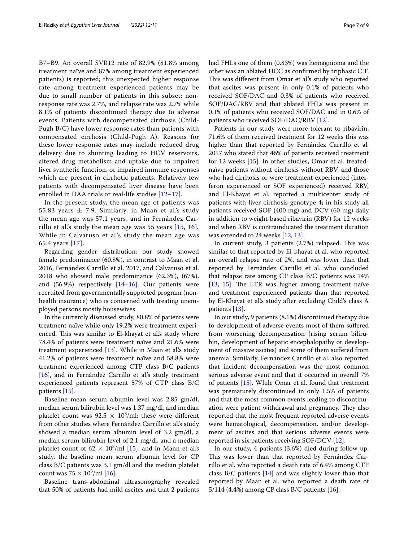B7–B9. An overall SVR12 rate of 82.9% (81.8% among treatment naïve and 87% among treatment experienced patients) is reported; this unexpected higher response rate among treatment experienced patients may be due to small number of patients in this subset; nonresponse rate was 2.7%, and relapse rate was 2.7% while 8.1% of patients discontinued therapy due to adverse events. Patients with decompensated cirrhosis (Child-Pugh B/C) have lower response rates than patients with compensated cirrhosis (Child-Pugh A). Reasons for these lower response rates may include reduced drug delivery due to shunting leading to HCV reservoirs, altered drug metabolism and uptake due to impaired liver synthetic function, or impaired immune responses which are present in cirrhotic patients. Relatively few patients with decompensated liver disease have been enrolled in DAA trials or real-life studies [\[12–](#page-8-11)[17\]](#page-8-12).

In the present study, the mean age of patients was 55.83 years  $\pm$  7.9. Similarly, in Maan et al.'s study the mean age was 57.1 years, and in Fernández Carrillo et al.'s study the mean age was 55 years [[15,](#page-8-13) [16\]](#page-8-14)*.* While in Calvaruso et al.'s study the mean age was 65.4 years [[17](#page-8-12)]*.*

Regarding gender distribution: our study showed female predominance (60.8%), in contrast to Maan et al. 2016, Fernández Carrillo et al. 2017, and Calvaruso et al. 2018 who showed male predominance (62.3%), (67%), and  $(56.9%)$  respectively  $[14–16]$  $[14–16]$ . Our patients were recruited from governmentally supported program (nonhealth insurance) who is concerned with treating unemployed persons mostly housewives.

In the currently discussed study, 80.8% of patients were treatment naïve while only 19.2% were treatment experienced. This was similar to El-khayat et al's study where 78.4% of patients were treatment naïve and 21.6% were treatment experienced [\[13](#page-8-16)]. While in Maan et al's study 41.2% of patients were treatment naïve and 58.8% were treatment experienced among CTP class B/C patients [[16\]](#page-8-14), and in Fernández Carrillo et al's study treatment experienced patients represent 57% of CTP class B/C patients [[15\]](#page-8-13)*.*

Baseline mean serum albumin level was 2.85 gm/dl, median serum bilirubin level was 1.37 mg/dl, and median platelet count was  $92.5 \times 10^3$ /ml; these were different from other studies where Fernández Carrillo et al.'s study showed a median serum albumin level of 3.2 gm/dl, a median serum bilirubin level of 2.1 mg/dl, and a median platelet count of  $62 \times 10^3/\text{ml}$  [[15](#page-8-13)], and in Mann et al.'s study, the baseline mean serum albumin level for CP class B/C patients was 3.1 gm/dl and the median platelet count was  $75 \times 10^3$ /ml [\[16](#page-8-14)].

Baseline trans-abdominal ultrasonography revealed that 50% of patients had mild ascites and that 2 patients had FHLs one of them (0.83%) was hemagnioma and the other was an ablated HCC as confrmed by triphasic C.T. This was different from Omar et al's study who reported that ascites was present in only 0.1% of patients who received SOF/DAC and 0.3% of patients who received SOF/DAC/RBV and that ablated FHLs was present in 0.1% of patients who received SOF/DAC and in 0.6% of patients who received SOF/DAC/RBV [[12\]](#page-8-11).

Patients in our study were more tolerant to ribavirin, 71.6% of them received treatment for 12 weeks this was higher than that reported by Fernández Carrillo et al. 2017 who stated that 46% of patients received treatment for 12 weeks [\[15](#page-8-13)]. In other studies, Omar et al. treatednaïve patients without cirrhosis without RBV, and those who had cirrhosis or were treatment-experienced (interferon experienced or SOF experienced) received RBV, and El-Khayat et al. reported a multicenter study of patients with liver cirrhosis genotype 4; in his study all patients received SOF (400 mg) and DCV (60 mg) daily in addition to weight-based ribavirin (RBV) for 12 weeks and when RBV is contraindicated the treatment duration was extended to 24 weeks [\[12,](#page-8-11) [13](#page-8-16)].

In current study, 3 patients  $(2.7%)$  relapsed. This was similar to that reported by El-khayat et al. who reported an overall relapse rate of 2%, and was lower than that reported by Fernández Carrillo et al. who concluded that relapse rate among CP class B/C patients was 14% [[13,](#page-8-16) [15\]](#page-8-13). The ETR was higher among treatment naïve and treatment experienced patients than that reported by El-Khayat et al.'s study after excluding Child's class A patients [[13\]](#page-8-16).

In our study, 9 patients (8.1%) discontinued therapy due to development of adverse events most of them sufered from worsening decompensation (rising serum bilirubin, development of hepatic encephalopathy or development of massive ascites) and some of them sufered from anemia. Similarly, Fernández Carrillo et al*.* also reported that incident decompensation was the most common serious adverse event and that it occurred in overall 7% of patients [[15\]](#page-8-13). While Omar et al. found that treatment was prematurely discontinued in only 1.5% of patients and that the most common events leading to discontinuation were patient withdrawal and pregnancy. They also reported that the most frequent reported adverse events were hematological, decompensation, and/or development of ascites and that serious adverse events were reported in six patients receiving SOF/DCV [[12](#page-8-11)].

In our study, 4 patients (3.6%) died during follow-up. This was lower than that reported by Fernández Carrillo et al. who reported a death rate of 6.4% among CTP class B/C patients [[14](#page-8-15)] and was slightly lower than that reported by Maan et al. who reported a death rate of 5/114 (4.4%) among CP class B/C patients [\[16\]](#page-8-14).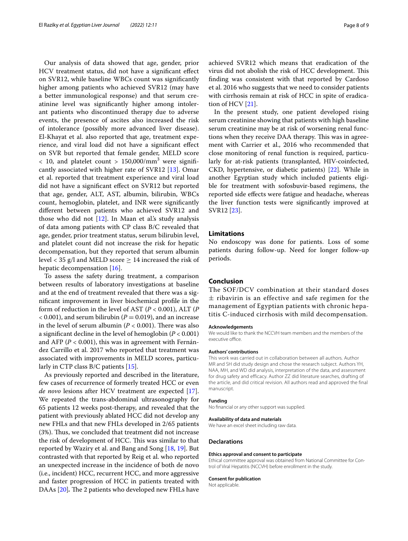Our analysis of data showed that age, gender, prior HCV treatment status, did not have a signifcant efect on SVR12, while baseline WBCs count was signifcantly higher among patients who achieved SVR12 (may have a better immunological response) and that serum creatinine level was signifcantly higher among intolerant patients who discontinued therapy due to adverse events, the presence of ascites also increased the risk of intolerance (possibly more advanced liver disease). El-Khayat et al. also reported that age, treatment experience, and viral load did not have a signifcant efect on SVR but reported that female gender, MELD score  $<$  10, and platelet count  $>$  150,000/mm<sup>3</sup> were significantly associated with higher rate of SVR12 [[13](#page-8-16)]. Omar et al. reported that treatment experience and viral load did not have a signifcant efect on SVR12 but reported that age, gender, ALT, AST, albumin, bilirubin, WBCs count, hemoglobin, platelet, and INR were signifcantly diferent between patients who achieved SVR12 and those who did not  $[12]$  $[12]$ . In Maan et al.'s study analysis of data among patients with CP class B/C revealed that age, gender, prior treatment status, serum bilirubin level, and platelet count did not increase the risk for hepatic decompensation, but they reported that serum albumin level < 35 g/l and MELD score  $\geq$  14 increased the risk of hepatic decompensation [\[16](#page-8-14)].

To assess the safety during treatment, a comparison between results of laboratory investigations at baseline and at the end of treatment revealed that there was a signifcant improvement in liver biochemical profle in the form of reduction in the level of AST (*P* < 0.001), ALT (*P*  $<$  0.001), and serum bilirubin ( $P = 0.019$ ), and an increase in the level of serum albumin ( $P < 0.001$ ). There was also a signifcant decline in the level of hemoglobin (*P* < 0.001) and AFP (*P* < 0.001), this was in agreement with Fernández Carrillo et al. 2017 who reported that treatment was associated with improvements in MELD scores, particularly in CTP class B/C patients [[15](#page-8-13)].

As previously reported and described in the literature, few cases of recurrence of formerly treated HCC or even *de novo* lesions after HCV treatment are expected [\[17](#page-8-12)]. We repeated the trans-abdominal ultrasonography for 65 patients 12 weeks post-therapy, and revealed that the patient with previously ablated HCC did not develop any new FHLs and that new FHLs developed in 2/65 patients (3%). Thus, we concluded that treatment did not increase the risk of development of HCC. This was similar to that reported by Waziry et al. and Bang and Song [\[18,](#page-8-17) [19](#page-8-18)]. But contrasted with that reported by Reig et al. who reported an unexpected increase in the incidence of both de novo (i.e., incident) HCC, recurrent HCC, and more aggressive and faster progression of HCC in patients treated with DAAs [\[20\]](#page-8-19). The 2 patients who developed new FHLs have achieved SVR12 which means that eradication of the virus did not abolish the risk of HCC development. This fnding was consistent with that reported by Cardoso et al. 2016 who suggests that we need to consider patients with cirrhosis remain at risk of HCC in spite of eradication of HCV [[21\]](#page-8-20).

In the present study, one patient developed rising serum creatinine showing that patients with high baseline serum creatinine may be at risk of worsening renal functions when they receive DAA therapy. This was in agreement with Carrier et al., 2016 who recommended that close monitoring of renal function is required, particularly for at-risk patients (transplanted, HIV-coinfected, CKD, hypertensive, or diabetic patients) [\[22](#page-8-21)]. While in another Egyptian study which included patients eligible for treatment with sofosbuvir-based regimens, the reported side efects were fatigue and headache, whereas the liver function tests were signifcantly improved at SVR12 [\[23\]](#page-8-22).

## **Limitations**

No endoscopy was done for patients. Loss of some patients during follow-up. Need for longer follow-up periods.

## **Conclusion**

The SOF/DCV combination at their standard doses  $\pm$  ribavirin is an effective and safe regimen for the management of Egyptian patients with chronic hepatitis C-induced cirrhosis with mild decompensation.

#### **Acknowledgements**

We would like to thank the NCCVH team members and the members of the executive office.

## **Authors' contributions**

This work was carried out in collaboration between all authors*.* Author MR and SH did study design and chose the research subject. Authors YH, NAA, MH, and WD did analysis, interpretation of the data, and assessment for drug safety and efficacy. Author ZZ did literature searches, drafting of the article, and did critical revision. All authors read and approved the final manuscript.

#### **Funding**

No fnancial or any other support was supplied.

#### **Availability of data and materials**

We have an excel sheet including raw data.

#### **Declarations**

#### **Ethics approval and consent to participate**

Ethical committee approval was obtained from National Committee for Control of Viral Hepatitis (NCCVH) before enrollment in the study.

#### **Consent for publication**

Not applicable.